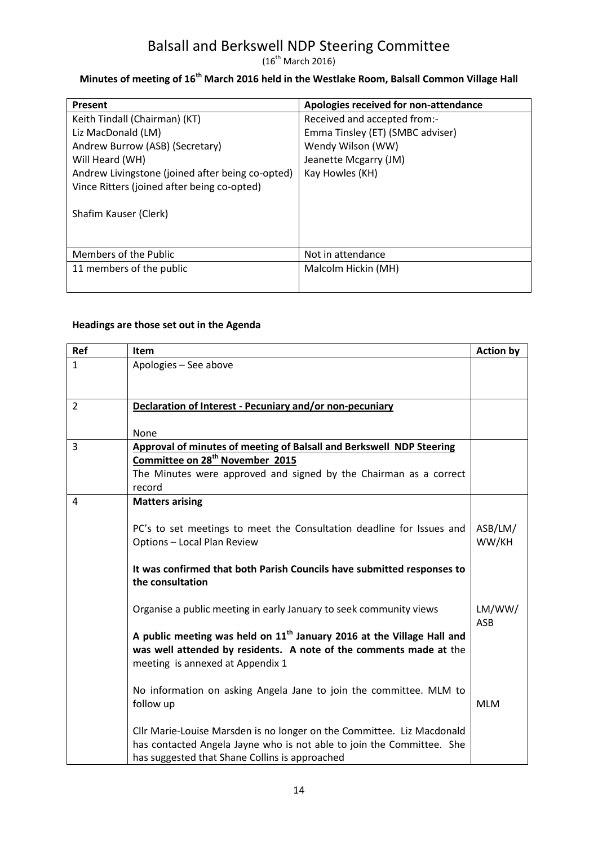$(16^{th}$  March 2016)

# **Minutes of meeting of 16th March 2016 held in the Westlake Room, Balsall Common Village Hall**

| <b>Present</b>                                   | Apologies received for non-attendance |
|--------------------------------------------------|---------------------------------------|
| Keith Tindall (Chairman) (KT)                    | Received and accepted from:-          |
| Liz MacDonald (LM)                               | Emma Tinsley (ET) (SMBC adviser)      |
| Andrew Burrow (ASB) (Secretary)                  | Wendy Wilson (WW)                     |
| Will Heard (WH)                                  | Jeanette Mcgarry (JM)                 |
| Andrew Livingstone (joined after being co-opted) | Kay Howles (KH)                       |
| Vince Ritters (joined after being co-opted)      |                                       |
| Shafim Kauser (Clerk)                            |                                       |
| Members of the Public                            | Not in attendance                     |
| 11 members of the public                         | Malcolm Hickin (MH)                   |
|                                                  |                                       |

#### **Headings are those set out in the Agenda**

| Ref            | Item                                                                                       | <b>Action by</b> |
|----------------|--------------------------------------------------------------------------------------------|------------------|
| $\mathbf{1}$   | Apologies - See above                                                                      |                  |
|                |                                                                                            |                  |
| $\overline{2}$ | Declaration of Interest - Pecuniary and/or non-pecuniary                                   |                  |
|                |                                                                                            |                  |
|                | None                                                                                       |                  |
| 3              | <b>Approval of minutes of meeting of Balsall and Berkswell NDP Steering</b>                |                  |
|                | Committee on 28 <sup>th</sup> November 2015                                                |                  |
|                | The Minutes were approved and signed by the Chairman as a correct                          |                  |
|                | record                                                                                     |                  |
| 4              | <b>Matters arising</b>                                                                     |                  |
|                |                                                                                            |                  |
|                | PC's to set meetings to meet the Consultation deadline for Issues and                      | ASB/LM/          |
|                | Options - Local Plan Review                                                                | WW/KH            |
|                |                                                                                            |                  |
|                | It was confirmed that both Parish Councils have submitted responses to<br>the consultation |                  |
|                |                                                                                            |                  |
|                | Organise a public meeting in early January to seek community views                         | LM/WW/           |
|                |                                                                                            | ASB              |
|                | A public meeting was held on $11th$ January 2016 at the Village Hall and                   |                  |
|                | was well attended by residents. A note of the comments made at the                         |                  |
|                | meeting is annexed at Appendix 1                                                           |                  |
|                |                                                                                            |                  |
|                | No information on asking Angela Jane to join the committee. MLM to                         |                  |
|                | follow up                                                                                  | <b>MLM</b>       |
|                | Cllr Marie-Louise Marsden is no longer on the Committee. Liz Macdonald                     |                  |
|                | has contacted Angela Jayne who is not able to join the Committee. She                      |                  |
|                | has suggested that Shane Collins is approached                                             |                  |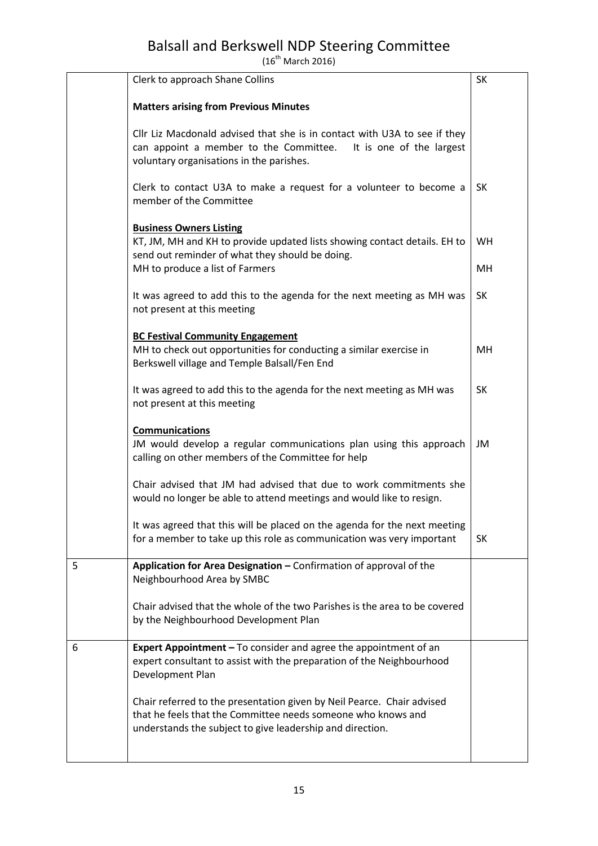$(16^{th}$  March 2016)

|   | Clerk to approach Shane Collins                                                                                                                                                                     | <b>SK</b> |
|---|-----------------------------------------------------------------------------------------------------------------------------------------------------------------------------------------------------|-----------|
|   | <b>Matters arising from Previous Minutes</b>                                                                                                                                                        |           |
|   | Cllr Liz Macdonald advised that she is in contact with U3A to see if they<br>can appoint a member to the Committee.<br>It is one of the largest<br>voluntary organisations in the parishes.         |           |
|   | Clerk to contact U3A to make a request for a volunteer to become a<br>member of the Committee                                                                                                       | <b>SK</b> |
|   | <b>Business Owners Listing</b><br>KT, JM, MH and KH to provide updated lists showing contact details. EH to<br>send out reminder of what they should be doing.                                      | <b>WH</b> |
|   | MH to produce a list of Farmers                                                                                                                                                                     | MH        |
|   | It was agreed to add this to the agenda for the next meeting as MH was<br>not present at this meeting                                                                                               | <b>SK</b> |
|   | <b>BC Festival Community Engagement</b><br>MH to check out opportunities for conducting a similar exercise in<br>Berkswell village and Temple Balsall/Fen End                                       | MH        |
|   | It was agreed to add this to the agenda for the next meeting as MH was<br>not present at this meeting                                                                                               | <b>SK</b> |
|   | <b>Communications</b><br>JM would develop a regular communications plan using this approach<br>calling on other members of the Committee for help                                                   | JM        |
|   | Chair advised that JM had advised that due to work commitments she<br>would no longer be able to attend meetings and would like to resign.                                                          |           |
|   | It was agreed that this will be placed on the agenda for the next meeting<br>for a member to take up this role as communication was very important                                                  | SK        |
| 5 | Application for Area Designation - Confirmation of approval of the<br>Neighbourhood Area by SMBC                                                                                                    |           |
|   | Chair advised that the whole of the two Parishes is the area to be covered<br>by the Neighbourhood Development Plan                                                                                 |           |
| 6 | Expert Appointment - To consider and agree the appointment of an<br>expert consultant to assist with the preparation of the Neighbourhood<br>Development Plan                                       |           |
|   | Chair referred to the presentation given by Neil Pearce. Chair advised<br>that he feels that the Committee needs someone who knows and<br>understands the subject to give leadership and direction. |           |
|   |                                                                                                                                                                                                     |           |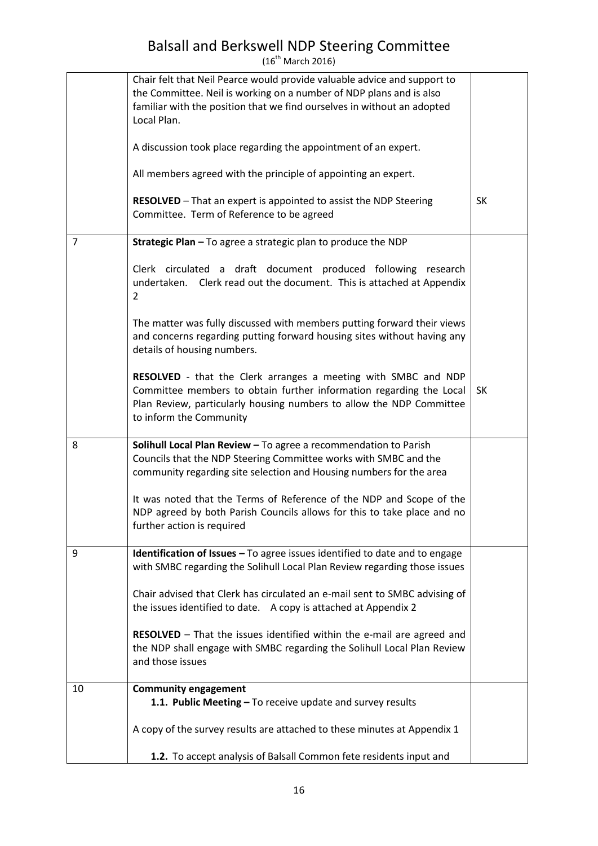$(16^{th}$  March 2016)

|    | Chair felt that Neil Pearce would provide valuable advice and support to<br>the Committee. Neil is working on a number of NDP plans and is also<br>familiar with the position that we find ourselves in without an adopted<br>Local Plan. |           |
|----|-------------------------------------------------------------------------------------------------------------------------------------------------------------------------------------------------------------------------------------------|-----------|
|    | A discussion took place regarding the appointment of an expert.                                                                                                                                                                           |           |
|    | All members agreed with the principle of appointing an expert.                                                                                                                                                                            |           |
|    | <b>RESOLVED</b> - That an expert is appointed to assist the NDP Steering<br>Committee. Term of Reference to be agreed                                                                                                                     | <b>SK</b> |
| 7  | Strategic Plan - To agree a strategic plan to produce the NDP                                                                                                                                                                             |           |
|    | Clerk circulated a draft document produced following<br>research<br>undertaken. Clerk read out the document. This is attached at Appendix<br>2                                                                                            |           |
|    | The matter was fully discussed with members putting forward their views<br>and concerns regarding putting forward housing sites without having any<br>details of housing numbers.                                                         |           |
|    | RESOLVED - that the Clerk arranges a meeting with SMBC and NDP<br>Committee members to obtain further information regarding the Local<br>Plan Review, particularly housing numbers to allow the NDP Committee<br>to inform the Community  | <b>SK</b> |
| 8  | Solihull Local Plan Review - To agree a recommendation to Parish<br>Councils that the NDP Steering Committee works with SMBC and the<br>community regarding site selection and Housing numbers for the area                               |           |
|    | It was noted that the Terms of Reference of the NDP and Scope of the<br>NDP agreed by both Parish Councils allows for this to take place and no<br>further action is required                                                             |           |
| 9  | <b>Identification of Issues - To agree issues identified to date and to engage</b><br>with SMBC regarding the Solihull Local Plan Review regarding those issues                                                                           |           |
|    | Chair advised that Clerk has circulated an e-mail sent to SMBC advising of<br>the issues identified to date. A copy is attached at Appendix 2                                                                                             |           |
|    | <b>RESOLVED</b> - That the issues identified within the e-mail are agreed and<br>the NDP shall engage with SMBC regarding the Solihull Local Plan Review<br>and those issues                                                              |           |
| 10 | <b>Community engagement</b><br>1.1. Public Meeting - To receive update and survey results                                                                                                                                                 |           |
|    | A copy of the survey results are attached to these minutes at Appendix 1                                                                                                                                                                  |           |
|    | 1.2. To accept analysis of Balsall Common fete residents input and                                                                                                                                                                        |           |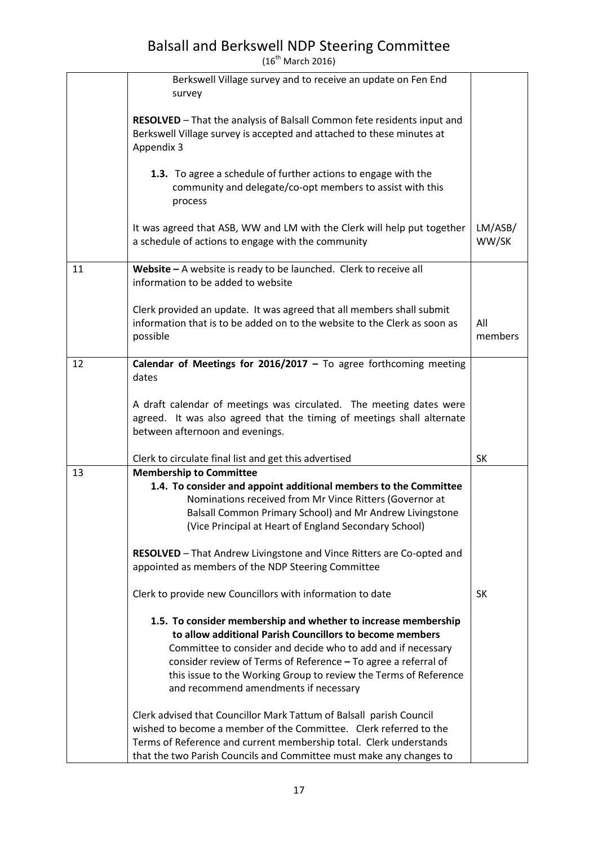$(16^{th}$  March 2016)

|    | Berkswell Village survey and to receive an update on Fen End<br>survey                                                                                                                                                                                                                                                                                                                                                                                                                                                                                                                                                                                             |                  |
|----|--------------------------------------------------------------------------------------------------------------------------------------------------------------------------------------------------------------------------------------------------------------------------------------------------------------------------------------------------------------------------------------------------------------------------------------------------------------------------------------------------------------------------------------------------------------------------------------------------------------------------------------------------------------------|------------------|
|    | RESOLVED - That the analysis of Balsall Common fete residents input and<br>Berkswell Village survey is accepted and attached to these minutes at<br>Appendix 3                                                                                                                                                                                                                                                                                                                                                                                                                                                                                                     |                  |
|    | 1.3. To agree a schedule of further actions to engage with the<br>community and delegate/co-opt members to assist with this<br>process                                                                                                                                                                                                                                                                                                                                                                                                                                                                                                                             |                  |
|    | It was agreed that ASB, WW and LM with the Clerk will help put together<br>a schedule of actions to engage with the community                                                                                                                                                                                                                                                                                                                                                                                                                                                                                                                                      | LM/ASB/<br>WW/SK |
| 11 | Website $-$ A website is ready to be launched. Clerk to receive all<br>information to be added to website                                                                                                                                                                                                                                                                                                                                                                                                                                                                                                                                                          |                  |
|    | Clerk provided an update. It was agreed that all members shall submit<br>information that is to be added on to the website to the Clerk as soon as<br>possible                                                                                                                                                                                                                                                                                                                                                                                                                                                                                                     | All<br>members   |
| 12 | Calendar of Meetings for 2016/2017 - To agree forthcoming meeting<br>dates                                                                                                                                                                                                                                                                                                                                                                                                                                                                                                                                                                                         |                  |
|    | A draft calendar of meetings was circulated. The meeting dates were<br>agreed. It was also agreed that the timing of meetings shall alternate<br>between afternoon and evenings.                                                                                                                                                                                                                                                                                                                                                                                                                                                                                   |                  |
|    | Clerk to circulate final list and get this advertised                                                                                                                                                                                                                                                                                                                                                                                                                                                                                                                                                                                                              | <b>SK</b>        |
| 13 | <b>Membership to Committee</b><br>1.4. To consider and appoint additional members to the Committee<br>Nominations received from Mr Vince Ritters (Governor at<br>Balsall Common Primary School) and Mr Andrew Livingstone<br>(Vice Principal at Heart of England Secondary School)<br>RESOLVED - That Andrew Livingstone and Vince Ritters are Co-opted and<br>appointed as members of the NDP Steering Committee                                                                                                                                                                                                                                                  |                  |
|    | Clerk to provide new Councillors with information to date                                                                                                                                                                                                                                                                                                                                                                                                                                                                                                                                                                                                          | <b>SK</b>        |
|    | 1.5. To consider membership and whether to increase membership<br>to allow additional Parish Councillors to become members<br>Committee to consider and decide who to add and if necessary<br>consider review of Terms of Reference - To agree a referral of<br>this issue to the Working Group to review the Terms of Reference<br>and recommend amendments if necessary<br>Clerk advised that Councillor Mark Tattum of Balsall parish Council<br>wished to become a member of the Committee. Clerk referred to the<br>Terms of Reference and current membership total. Clerk understands<br>that the two Parish Councils and Committee must make any changes to |                  |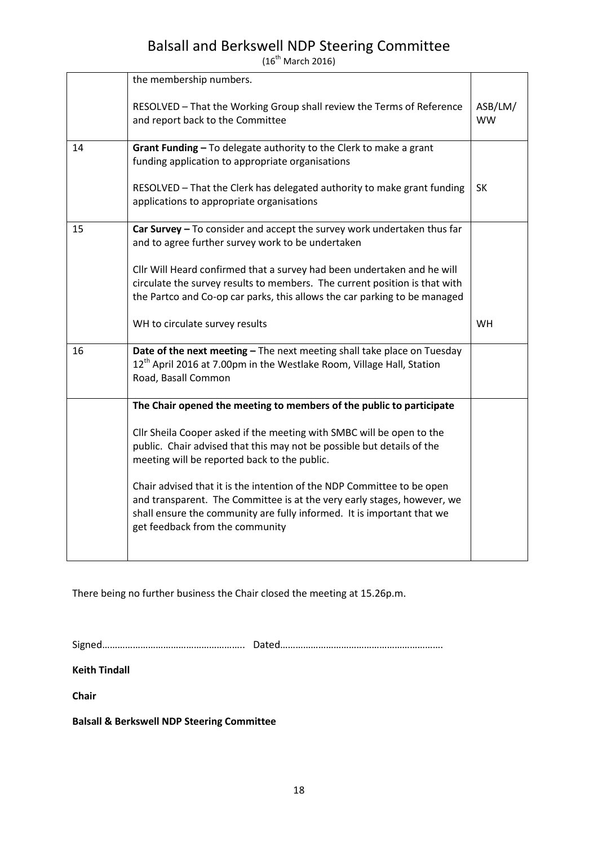$(16^{th}$  March 2016)

|    | the membership numbers.                                                                                                                                                                                                                                        |                      |
|----|----------------------------------------------------------------------------------------------------------------------------------------------------------------------------------------------------------------------------------------------------------------|----------------------|
|    | RESOLVED - That the Working Group shall review the Terms of Reference<br>and report back to the Committee                                                                                                                                                      | ASB/LM/<br><b>WW</b> |
| 14 | Grant Funding - To delegate authority to the Clerk to make a grant<br>funding application to appropriate organisations                                                                                                                                         |                      |
|    | RESOLVED - That the Clerk has delegated authority to make grant funding<br>applications to appropriate organisations                                                                                                                                           | SK                   |
| 15 | Car Survey $-$ To consider and accept the survey work undertaken thus far<br>and to agree further survey work to be undertaken                                                                                                                                 |                      |
|    | Cllr Will Heard confirmed that a survey had been undertaken and he will<br>circulate the survey results to members. The current position is that with<br>the Partco and Co-op car parks, this allows the car parking to be managed                             |                      |
|    | WH to circulate survey results                                                                                                                                                                                                                                 | <b>WH</b>            |
| 16 | Date of the next meeting - The next meeting shall take place on Tuesday<br>12 <sup>th</sup> April 2016 at 7.00pm in the Westlake Room, Village Hall, Station<br>Road, Basall Common                                                                            |                      |
|    | The Chair opened the meeting to members of the public to participate                                                                                                                                                                                           |                      |
|    | Cllr Sheila Cooper asked if the meeting with SMBC will be open to the<br>public. Chair advised that this may not be possible but details of the<br>meeting will be reported back to the public.                                                                |                      |
|    | Chair advised that it is the intention of the NDP Committee to be open<br>and transparent. The Committee is at the very early stages, however, we<br>shall ensure the community are fully informed. It is important that we<br>get feedback from the community |                      |

There being no further business the Chair closed the meeting at 15.26p.m.

Signed……………………………………………….. Dated……………………………………………………….

**Keith Tindall**

**Chair**

**Balsall & Berkswell NDP Steering Committee**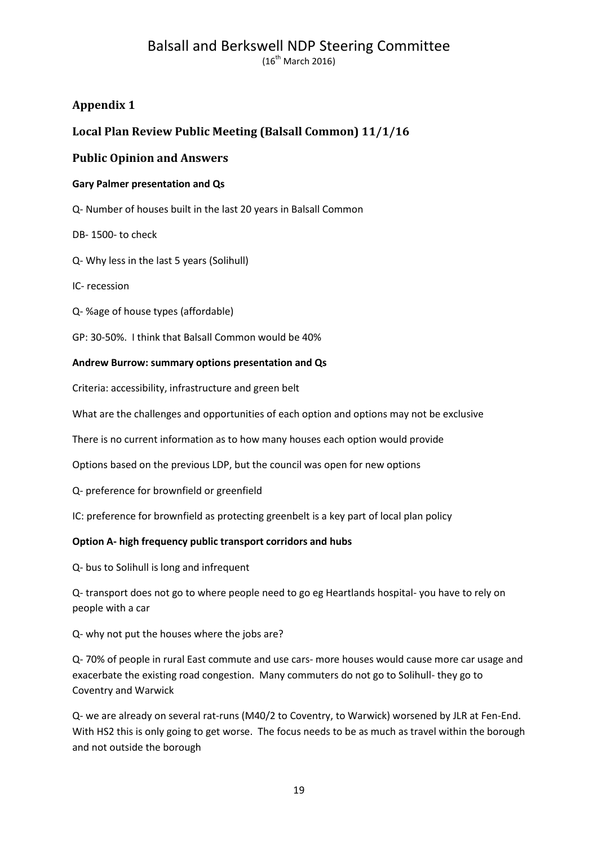### **Appendix 1**

### **Local Plan Review Public Meeting (Balsall Common) 11/1/16**

#### **Public Opinion and Answers**

#### **Gary Palmer presentation and Qs**

Q- Number of houses built in the last 20 years in Balsall Common

DB- 1500- to check

Q- Why less in the last 5 years (Solihull)

IC- recession

- Q- %age of house types (affordable)
- GP: 30-50%. I think that Balsall Common would be 40%

#### **Andrew Burrow: summary options presentation and Qs**

Criteria: accessibility, infrastructure and green belt

What are the challenges and opportunities of each option and options may not be exclusive

There is no current information as to how many houses each option would provide

Options based on the previous LDP, but the council was open for new options

Q- preference for brownfield or greenfield

IC: preference for brownfield as protecting greenbelt is a key part of local plan policy

#### **Option A- high frequency public transport corridors and hubs**

Q- bus to Solihull is long and infrequent

Q- transport does not go to where people need to go eg Heartlands hospital- you have to rely on people with a car

Q- why not put the houses where the jobs are?

Q- 70% of people in rural East commute and use cars- more houses would cause more car usage and exacerbate the existing road congestion. Many commuters do not go to Solihull- they go to Coventry and Warwick

Q- we are already on several rat-runs (M40/2 to Coventry, to Warwick) worsened by JLR at Fen-End. With HS2 this is only going to get worse. The focus needs to be as much as travel within the borough and not outside the borough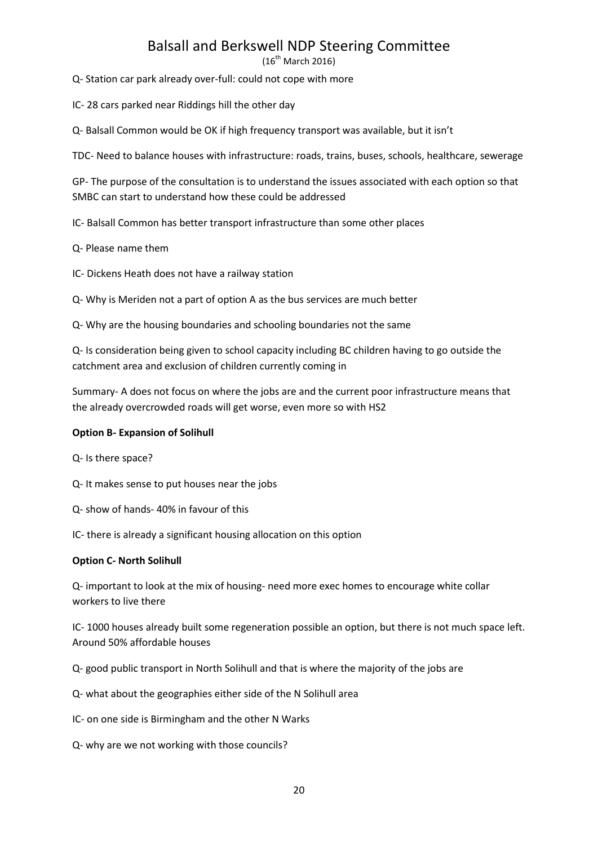$(16^{\text{th}}$  March 2016)

Q- Station car park already over-full: could not cope with more

IC- 28 cars parked near Riddings hill the other day

Q- Balsall Common would be OK if high frequency transport was available, but it isn't

TDC- Need to balance houses with infrastructure: roads, trains, buses, schools, healthcare, sewerage

GP- The purpose of the consultation is to understand the issues associated with each option so that SMBC can start to understand how these could be addressed

IC- Balsall Common has better transport infrastructure than some other places

Q- Please name them

IC- Dickens Heath does not have a railway station

Q- Why is Meriden not a part of option A as the bus services are much better

Q- Why are the housing boundaries and schooling boundaries not the same

Q- Is consideration being given to school capacity including BC children having to go outside the catchment area and exclusion of children currently coming in

Summary- A does not focus on where the jobs are and the current poor infrastructure means that the already overcrowded roads will get worse, even more so with HS2

#### **Option B- Expansion of Solihull**

Q- Is there space?

Q- It makes sense to put houses near the jobs

Q- show of hands- 40% in favour of this

IC- there is already a significant housing allocation on this option

#### **Option C- North Solihull**

Q- important to look at the mix of housing- need more exec homes to encourage white collar workers to live there

IC- 1000 houses already built some regeneration possible an option, but there is not much space left. Around 50% affordable houses

Q- good public transport in North Solihull and that is where the majority of the jobs are

Q- what about the geographies either side of the N Solihull area

IC- on one side is Birmingham and the other N Warks

Q- why are we not working with those councils?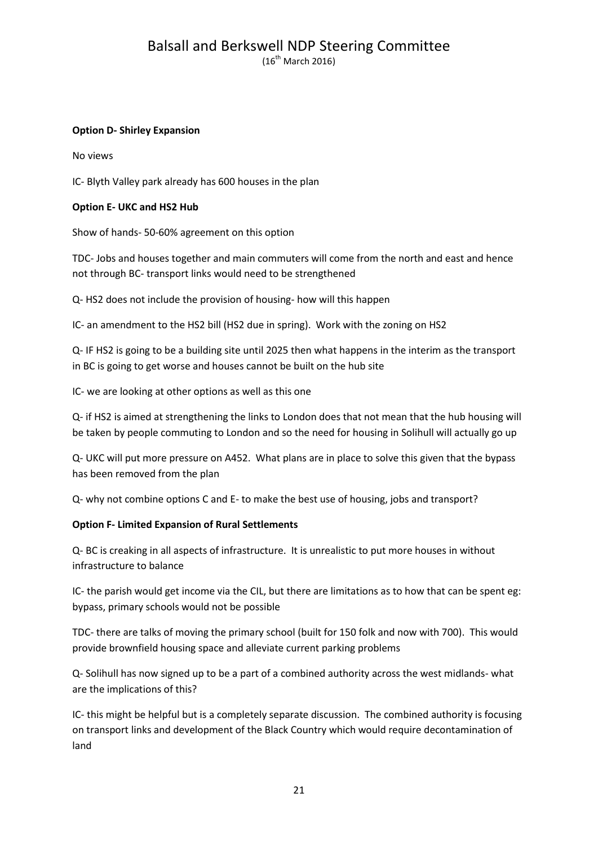$(16^{th}$  March 2016)

#### **Option D- Shirley Expansion**

No views

IC- Blyth Valley park already has 600 houses in the plan

#### **Option E- UKC and HS2 Hub**

Show of hands- 50-60% agreement on this option

TDC- Jobs and houses together and main commuters will come from the north and east and hence not through BC- transport links would need to be strengthened

Q- HS2 does not include the provision of housing- how will this happen

IC- an amendment to the HS2 bill (HS2 due in spring). Work with the zoning on HS2

Q- IF HS2 is going to be a building site until 2025 then what happens in the interim as the transport in BC is going to get worse and houses cannot be built on the hub site

IC- we are looking at other options as well as this one

Q- if HS2 is aimed at strengthening the links to London does that not mean that the hub housing will be taken by people commuting to London and so the need for housing in Solihull will actually go up

Q- UKC will put more pressure on A452. What plans are in place to solve this given that the bypass has been removed from the plan

Q- why not combine options C and E- to make the best use of housing, jobs and transport?

#### **Option F- Limited Expansion of Rural Settlements**

Q- BC is creaking in all aspects of infrastructure. It is unrealistic to put more houses in without infrastructure to balance

IC- the parish would get income via the CIL, but there are limitations as to how that can be spent eg: bypass, primary schools would not be possible

TDC- there are talks of moving the primary school (built for 150 folk and now with 700). This would provide brownfield housing space and alleviate current parking problems

Q- Solihull has now signed up to be a part of a combined authority across the west midlands- what are the implications of this?

IC- this might be helpful but is a completely separate discussion. The combined authority is focusing on transport links and development of the Black Country which would require decontamination of land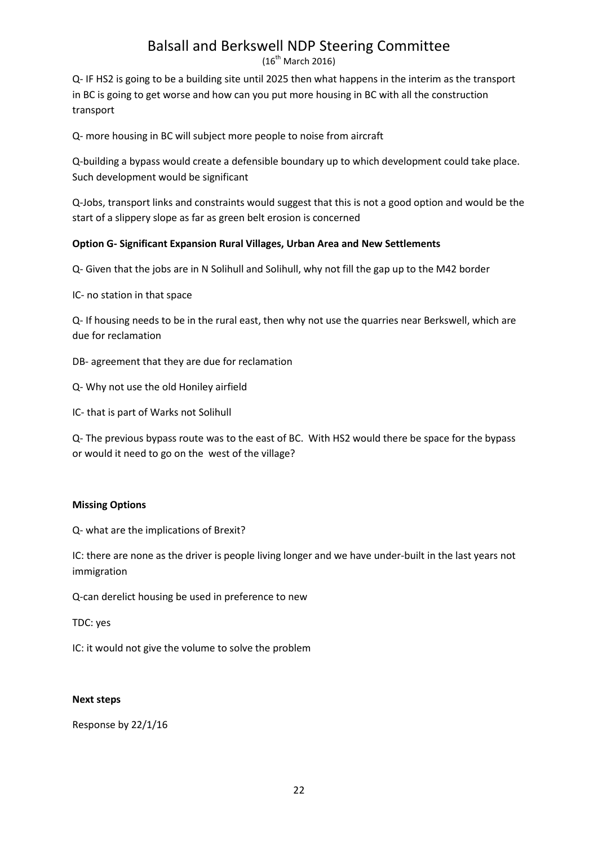$(16^{\text{th}}$  March 2016)

Q- IF HS2 is going to be a building site until 2025 then what happens in the interim as the transport in BC is going to get worse and how can you put more housing in BC with all the construction transport

Q- more housing in BC will subject more people to noise from aircraft

Q-building a bypass would create a defensible boundary up to which development could take place. Such development would be significant

Q-Jobs, transport links and constraints would suggest that this is not a good option and would be the start of a slippery slope as far as green belt erosion is concerned

#### **Option G- Significant Expansion Rural Villages, Urban Area and New Settlements**

Q- Given that the jobs are in N Solihull and Solihull, why not fill the gap up to the M42 border

IC- no station in that space

Q- If housing needs to be in the rural east, then why not use the quarries near Berkswell, which are due for reclamation

- DB- agreement that they are due for reclamation
- Q- Why not use the old Honiley airfield
- IC- that is part of Warks not Solihull

Q- The previous bypass route was to the east of BC. With HS2 would there be space for the bypass or would it need to go on the west of the village?

#### **Missing Options**

Q- what are the implications of Brexit?

IC: there are none as the driver is people living longer and we have under-built in the last years not immigration

Q-can derelict housing be used in preference to new

TDC: yes

IC: it would not give the volume to solve the problem

#### **Next steps**

Response by 22/1/16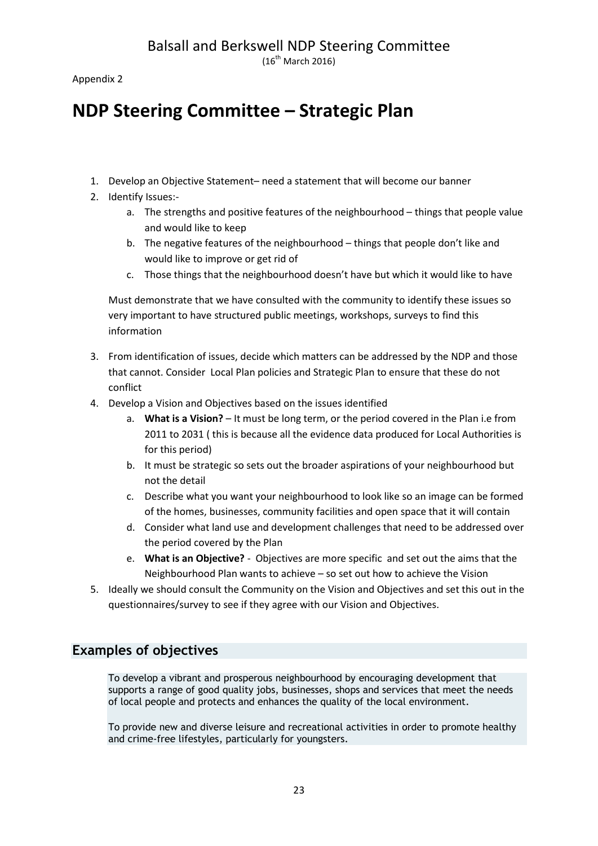$(16^{\text{th}}$  March 2016)

Appendix 2

# **NDP Steering Committee – Strategic Plan**

- 1. Develop an Objective Statement– need a statement that will become our banner
- 2. Identify Issues:
	- a. The strengths and positive features of the neighbourhood things that people value and would like to keep
	- b. The negative features of the neighbourhood things that people don't like and would like to improve or get rid of
	- c. Those things that the neighbourhood doesn't have but which it would like to have

Must demonstrate that we have consulted with the community to identify these issues so very important to have structured public meetings, workshops, surveys to find this information

- 3. From identification of issues, decide which matters can be addressed by the NDP and those that cannot. Consider Local Plan policies and Strategic Plan to ensure that these do not conflict
- 4. Develop a Vision and Objectives based on the issues identified
	- a. **What is a Vision?** It must be long term, or the period covered in the Plan i.e from 2011 to 2031 ( this is because all the evidence data produced for Local Authorities is for this period)
	- b. It must be strategic so sets out the broader aspirations of your neighbourhood but not the detail
	- c. Describe what you want your neighbourhood to look like so an image can be formed of the homes, businesses, community facilities and open space that it will contain
	- d. Consider what land use and development challenges that need to be addressed over the period covered by the Plan
	- e. **What is an Objective?** Objectives are more specific and set out the aims that the Neighbourhood Plan wants to achieve – so set out how to achieve the Vision
- 5. Ideally we should consult the Community on the Vision and Objectives and set this out in the questionnaires/survey to see if they agree with our Vision and Objectives.

### **Examples of objectives**

To develop a vibrant and prosperous neighbourhood by encouraging development that supports a range of good quality jobs, businesses, shops and services that meet the needs of local people and protects and enhances the quality of the local environment.

To provide new and diverse leisure and recreational activities in order to promote healthy and crime-free lifestyles, particularly for youngsters.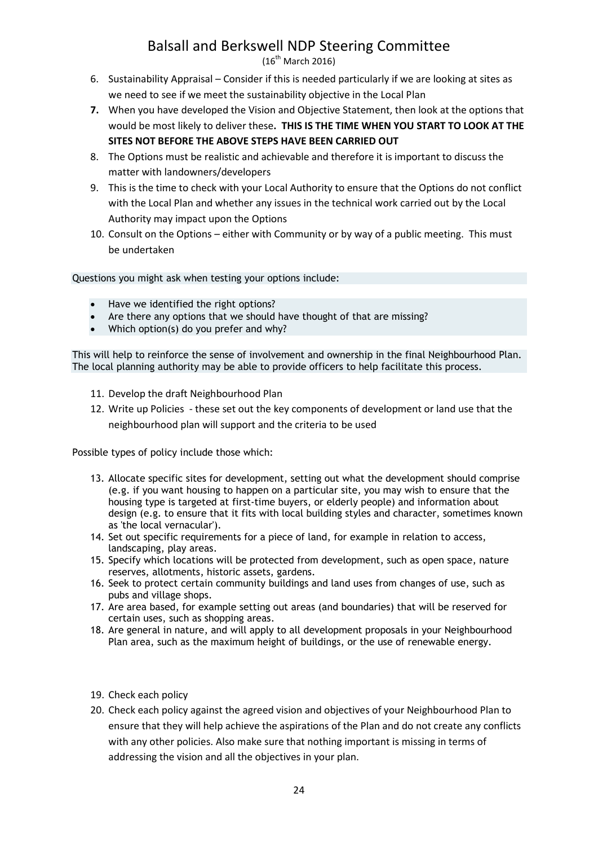$(16^{th}$  March 2016)

- 6. Sustainability Appraisal Consider if this is needed particularly if we are looking at sites as we need to see if we meet the sustainability objective in the Local Plan
- **7.** When you have developed the Vision and Objective Statement, then look at the options that would be most likely to deliver these**. THIS IS THE TIME WHEN YOU START TO LOOK AT THE SITES NOT BEFORE THE ABOVE STEPS HAVE BEEN CARRIED OUT**
- 8. The Options must be realistic and achievable and therefore it is important to discuss the matter with landowners/developers
- 9. This is the time to check with your Local Authority to ensure that the Options do not conflict with the Local Plan and whether any issues in the technical work carried out by the Local Authority may impact upon the Options
- 10. Consult on the Options either with Community or by way of a public meeting. This must be undertaken

Questions you might ask when testing your options include:

- Have we identified the right options?
- Are there any options that we should have thought of that are missing?
- Which option(s) do you prefer and why?

This will help to reinforce the sense of involvement and ownership in the final Neighbourhood Plan. The local planning authority may be able to provide officers to help facilitate this process.

- 11. Develop the draft Neighbourhood Plan
- 12. Write up Policies these set out the key components of development or land use that the neighbourhood plan will support and the criteria to be used

Possible types of policy include those which:

- 13. Allocate specific sites for development, setting out what the development should comprise (e.g. if you want housing to happen on a particular site, you may wish to ensure that the housing type is targeted at first-time buyers, or elderly people) and information about design (e.g. to ensure that it fits with local building styles and character, sometimes known as 'the local vernacular').
- 14. Set out specific requirements for a piece of land, for example in relation to access, landscaping, play areas.
- 15. Specify which locations will be protected from development, such as open space, nature reserves, allotments, historic assets, gardens.
- 16. Seek to protect certain community buildings and land uses from changes of use, such as pubs and village shops.
- 17. Are area based, for example setting out areas (and boundaries) that will be reserved for certain uses, such as shopping areas.
- 18. Are general in nature, and will apply to all development proposals in your Neighbourhood Plan area, such as the maximum height of buildings, or the use of renewable energy.
- 19. Check each policy
- 20. Check each policy against the agreed vision and objectives of your Neighbourhood Plan to ensure that they will help achieve the aspirations of the Plan and do not create any conflicts with any other policies. Also make sure that nothing important is missing in terms of addressing the vision and all the objectives in your plan.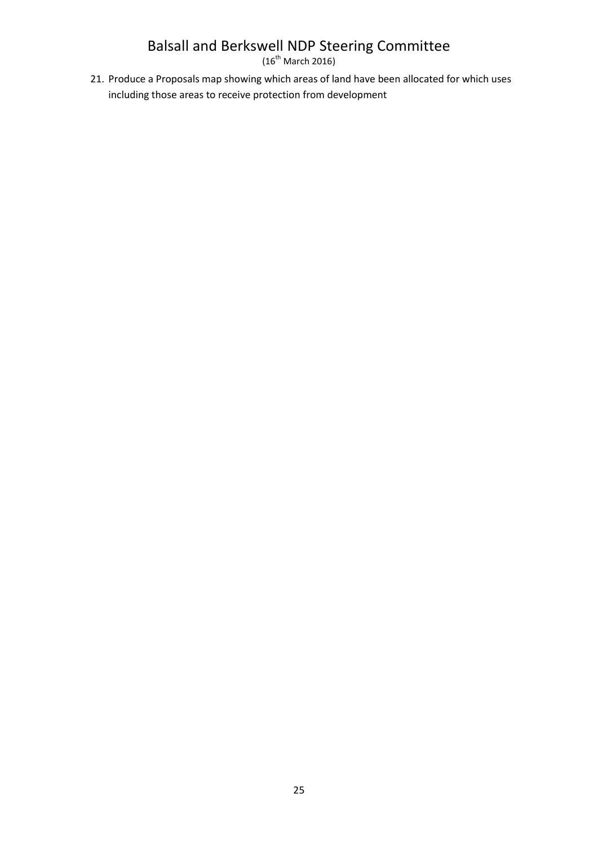$(16^{th}$  March 2016)

21. Produce a Proposals map showing which areas of land have been allocated for which uses including those areas to receive protection from development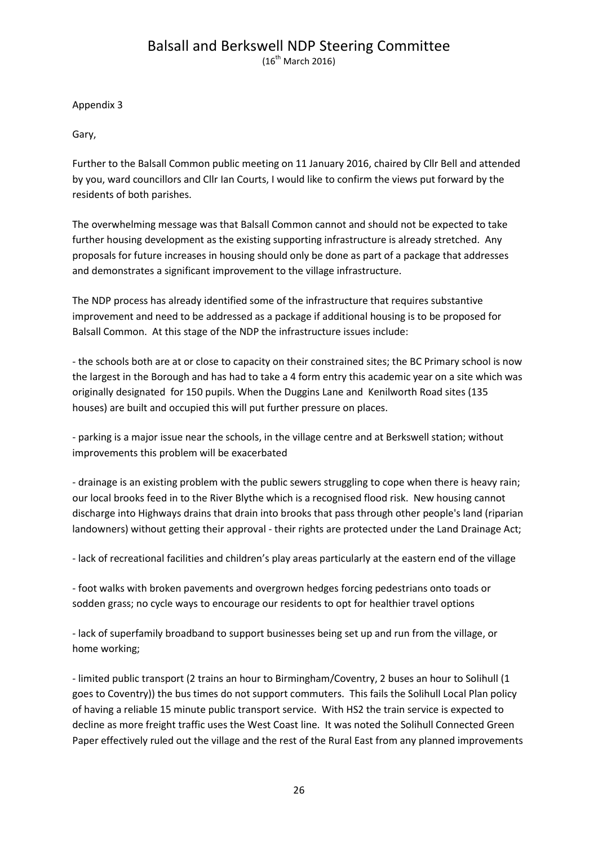$(16^{th}$  March 2016)

Appendix 3

Gary,

Further to the Balsall Common public meeting on 11 January 2016, chaired by Cllr Bell and attended by you, ward councillors and Cllr Ian Courts, I would like to confirm the views put forward by the residents of both parishes.

The overwhelming message was that Balsall Common cannot and should not be expected to take further housing development as the existing supporting infrastructure is already stretched. Any proposals for future increases in housing should only be done as part of a package that addresses and demonstrates a significant improvement to the village infrastructure.

The NDP process has already identified some of the infrastructure that requires substantive improvement and need to be addressed as a package if additional housing is to be proposed for Balsall Common. At this stage of the NDP the infrastructure issues include:

- the schools both are at or close to capacity on their constrained sites; the BC Primary school is now the largest in the Borough and has had to take a 4 form entry this academic year on a site which was originally designated for 150 pupils. When the Duggins Lane and Kenilworth Road sites (135 houses) are built and occupied this will put further pressure on places.

- parking is a major issue near the schools, in the village centre and at Berkswell station; without improvements this problem will be exacerbated

- drainage is an existing problem with the public sewers struggling to cope when there is heavy rain; our local brooks feed in to the River Blythe which is a recognised flood risk. New housing cannot discharge into Highways drains that drain into brooks that pass through other people's land (riparian landowners) without getting their approval - their rights are protected under the Land Drainage Act;

- lack of recreational facilities and children's play areas particularly at the eastern end of the village

- foot walks with broken pavements and overgrown hedges forcing pedestrians onto toads or sodden grass; no cycle ways to encourage our residents to opt for healthier travel options

- lack of superfamily broadband to support businesses being set up and run from the village, or home working;

- limited public transport (2 trains an hour to Birmingham/Coventry, 2 buses an hour to Solihull (1 goes to Coventry)) the bus times do not support commuters. This fails the Solihull Local Plan policy of having a reliable 15 minute public transport service. With HS2 the train service is expected to decline as more freight traffic uses the West Coast line. It was noted the Solihull Connected Green Paper effectively ruled out the village and the rest of the Rural East from any planned improvements